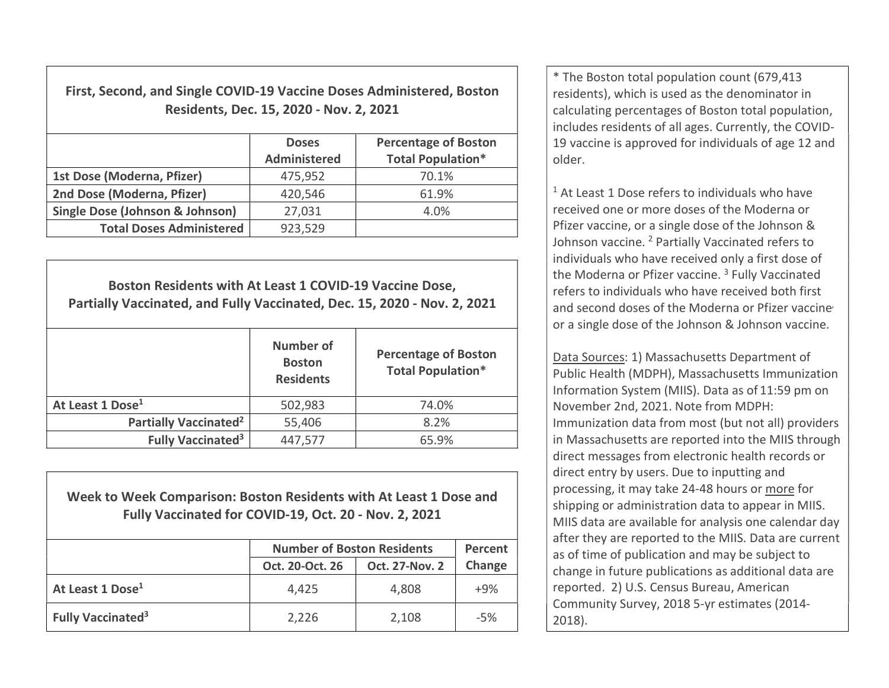First, Second, and Single COVID-19 Vaccine Doses Administered, Boston Residents, Dec. 15, 2020 - Nov. 2, 2021

|                                            | <b>Doses</b><br><b>Administered</b> | <b>Percentage of Boston</b><br><b>Total Population*</b> |
|--------------------------------------------|-------------------------------------|---------------------------------------------------------|
| 1st Dose (Moderna, Pfizer)                 | 475,952                             | 70.1%                                                   |
| 2nd Dose (Moderna, Pfizer)                 | 420,546                             | 61.9%                                                   |
| <b>Single Dose (Johnson &amp; Johnson)</b> | 27,031                              | 4.0%                                                    |
| <b>Total Doses Administered</b>            | 923,529                             |                                                         |

Boston Residents with At Least 1 COVID-19 Vaccine Dose, Partially Vaccinated, and Fully Vaccinated, Dec. 15, 2020 - Nov. 2, 2021 Number of **Boston Residents** Percentage of Boston Total Population\* At Least 1 Dose<sup>1</sup> 1 502,983 1 502,984 1 4.0% Partially Vaccinated<sup>2</sup>  $\vert$  55,406  $\vert$  8.2% Fully Vaccinated<sup>3</sup>  $447,577$   $65.9\%$ 

Week to Week Comparison: Boston Residents with At Least 1 Dose and Fully Vaccinated for COVID-19, Oct. 20 - Nov. 2, 2021

|                                      | <b>Number of Boston Residents</b> | Percent               |        |
|--------------------------------------|-----------------------------------|-----------------------|--------|
|                                      | Oct. 20-Oct. 26                   | <b>Oct. 27-Nov. 2</b> | Change |
| At Least 1 Dose <sup>1</sup>         | 4,425                             | 4,808                 | $+9%$  |
| <b>Fully Vaccinated</b> <sup>3</sup> | 2,226                             | 2,108                 | $-5%$  |

\* The Boston total population count (679,413 residents), which is used as the denominator in calculating percentages of Boston total population, includes residents of all ages. Currently, the COVID-19 vaccine is approved for individuals of age 12 and older.

<sup>1</sup> At Least 1 Dose refers to individuals who have received one or more doses of the Moderna or Pfizer vaccine, or a single dose of the Johnson & Johnson vaccine. <sup>2</sup> Partially Vaccinated refers to individuals who have received only a first dose of the Moderna or Pfizer vaccine.<sup>3</sup> Fully Vaccinated refers to individuals who have received both first and second doses of the Moderna or Pfizer vaccine or a single dose of the Johnson & Johnson vaccine.

Data Sources: 1) Massachusetts Department of Public Health (MDPH), Massachusetts Immunization Information System (MIIS). Data as of 11:59 pm on November 2nd, 2021. Note from MDPH: Immunization data from most (but not all) providers in Massachusetts are reported into the MIIS through direct messages from electronic health records or direct entry by users. Due to inputting and processing, it may take 24-48 hours or more for shipping or administration data to appear in MIIS. MIIS data are available for analysis one calendar day after they are reported to the MIIS. Data are current as of time of publication and may be subject to change in future publications as additional data are reported. 2) U.S. Census Bureau, American Community Survey, 2018 5-yr estimates (2014- 2018).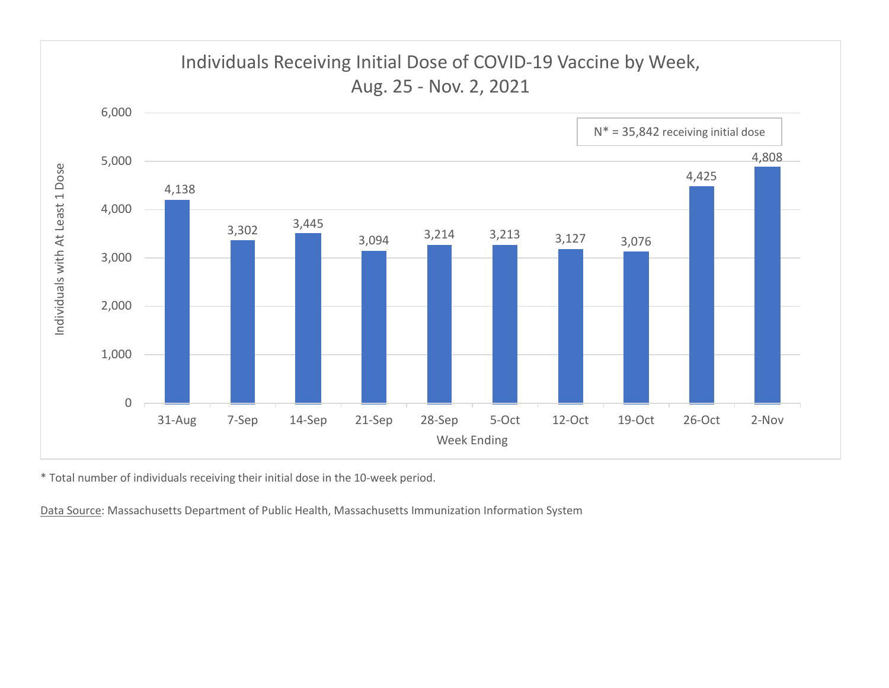

\* Total number of individuals receiving their initial dose in the 10-week period.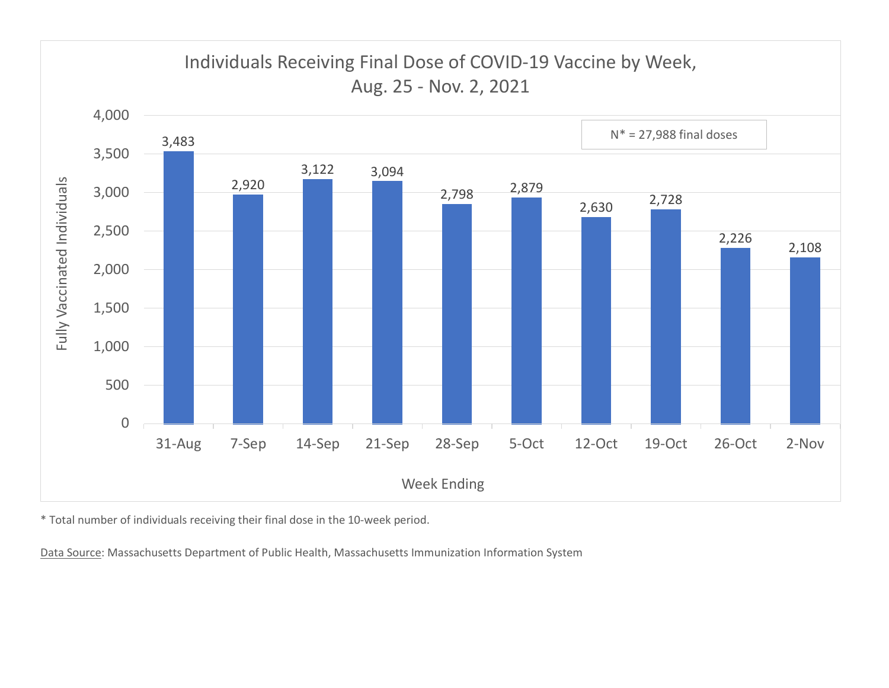

\* Total number of individuals receiving their final dose in the 10-week period.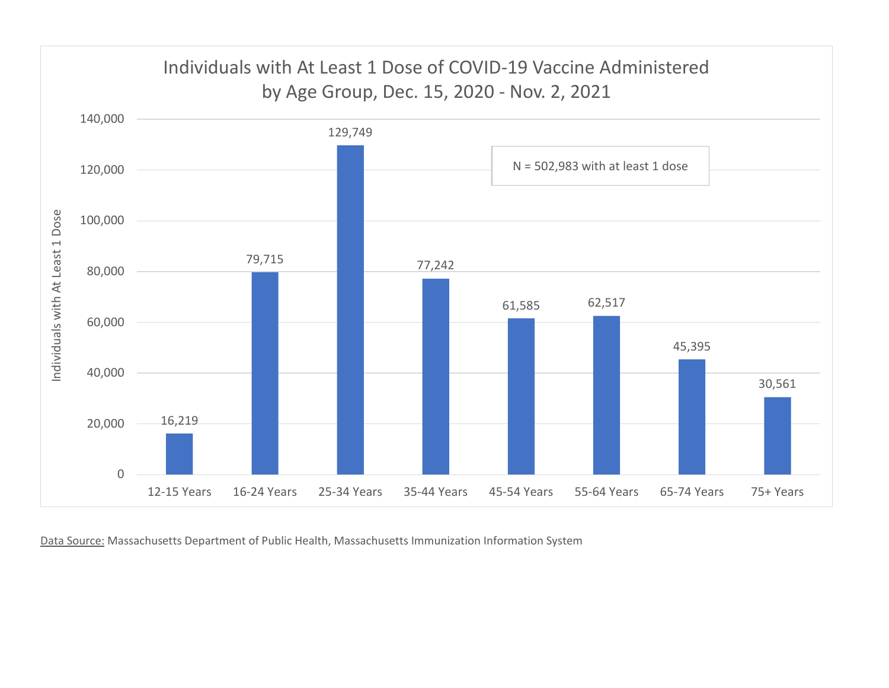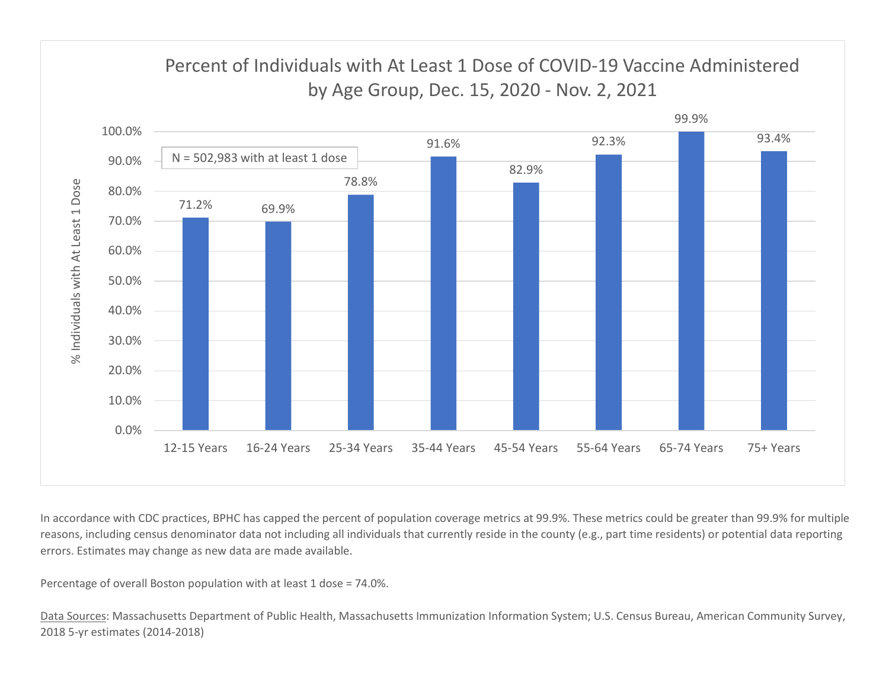

In accordance with CDC practices, BPHC has capped the percent of population coverage metrics at 99.9%. These metrics could be greater than 99.9% for multiple reasons, including census denominator data not including all individuals that currently reside in the county (e.g., part time residents) or potential data reporting errors. Estimates may change as new data are made available.

Percentage of overall Boston population with at least 1 dose = 74.0%.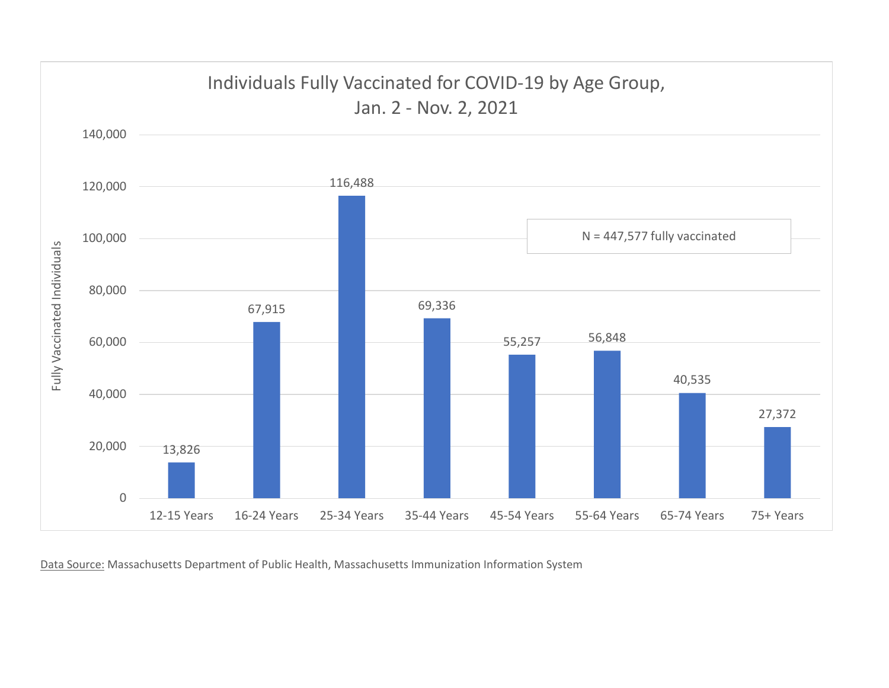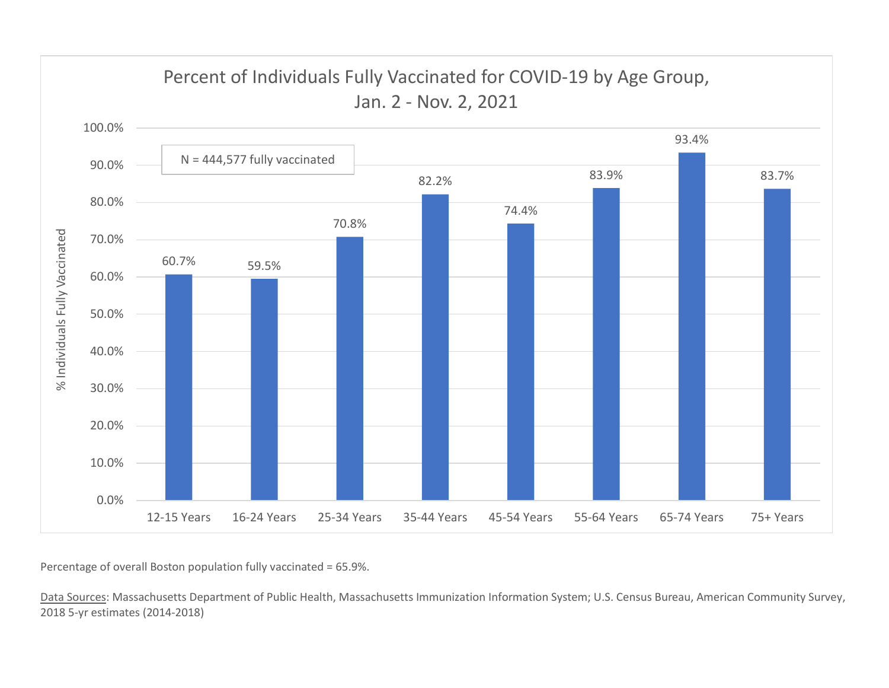

Percentage of overall Boston population fully vaccinated = 65.9%.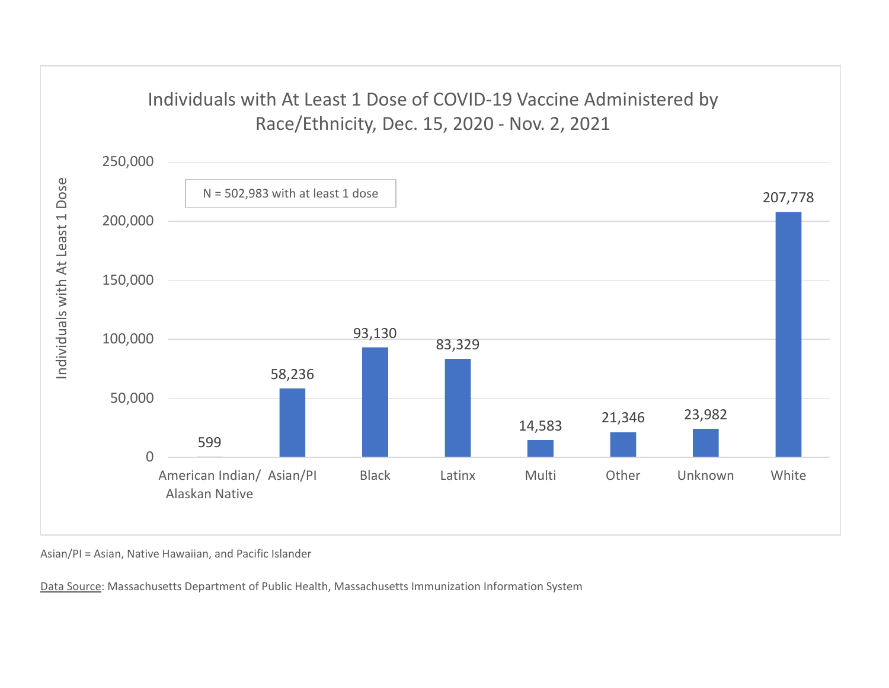## Individuals with At Least 1 Dose of COVID-19 Vaccine Administered by



Asian/PI = Asian, Native Hawaiian, and Pacific Islander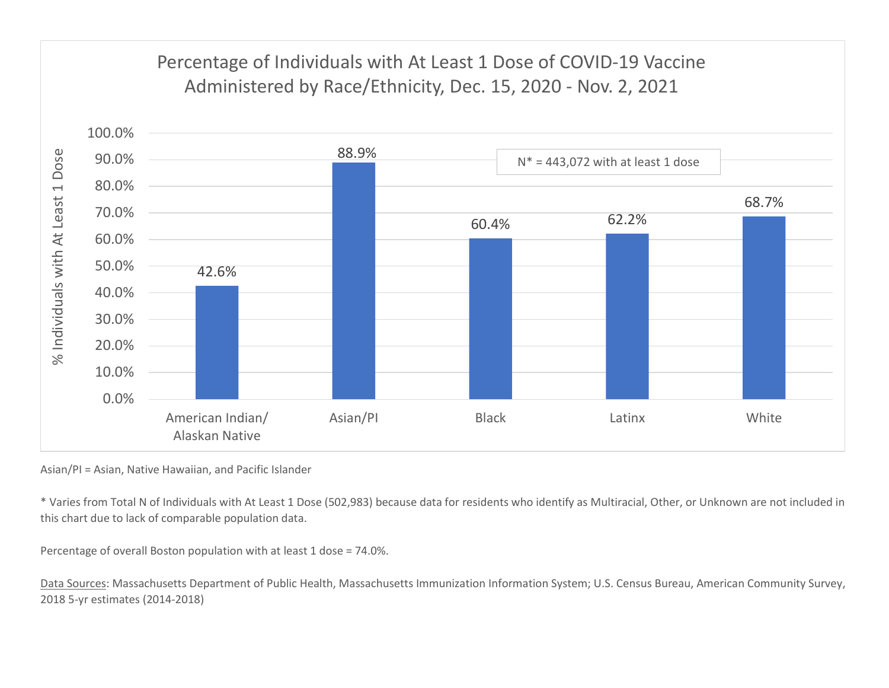

Asian/PI = Asian, Native Hawaiian, and Pacific Islander

\* Varies from Total N of Individuals with At Least 1 Dose (502,983) because data for residents who identify as Multiracial, Other, or Unknown are not included in this chart due to lack of comparable population data.

Percentage of overall Boston population with at least 1 dose = 74.0%.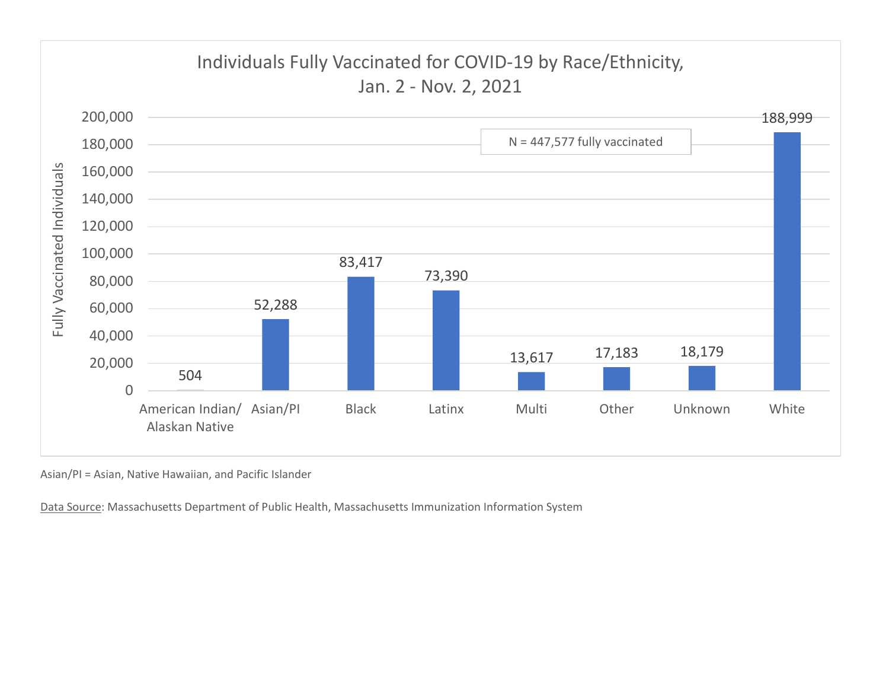

Asian/PI = Asian, Native Hawaiian, and Pacific Islander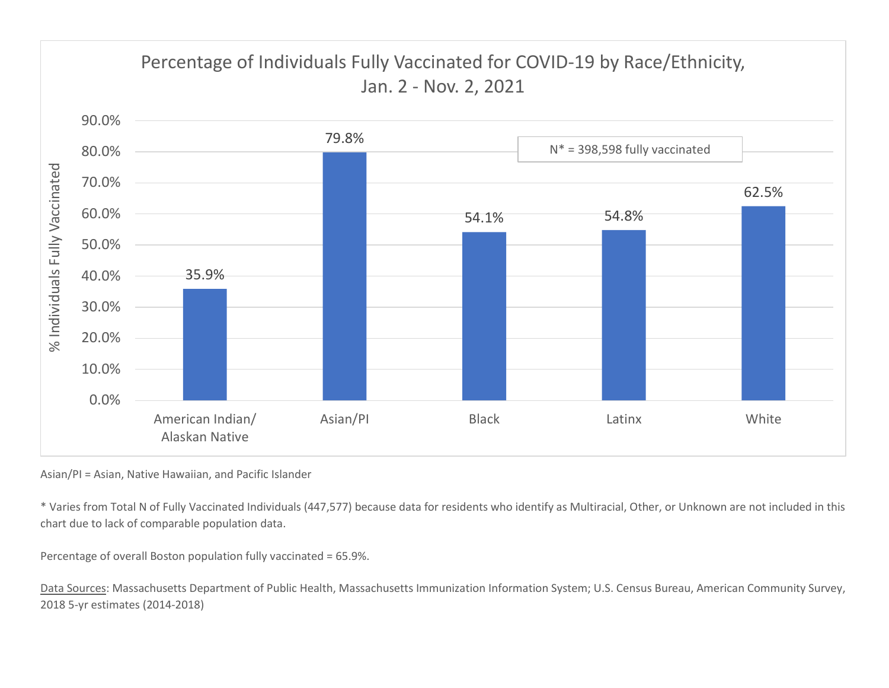

Asian/PI = Asian, Native Hawaiian, and Pacific Islander

\* Varies from Total N of Fully Vaccinated Individuals (447,577) because data for residents who identify as Multiracial, Other, or Unknown are not included in this chart due to lack of comparable population data.

Percentage of overall Boston population fully vaccinated = 65.9%.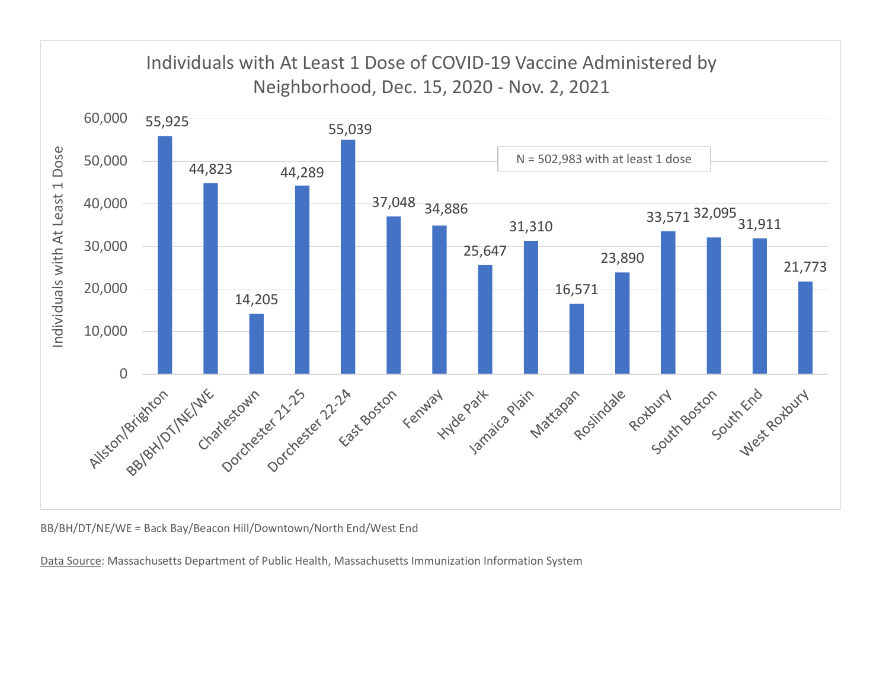

BB/BH/DT/NE/WE = Back Bay/Beacon Hill/Downtown/North End/West End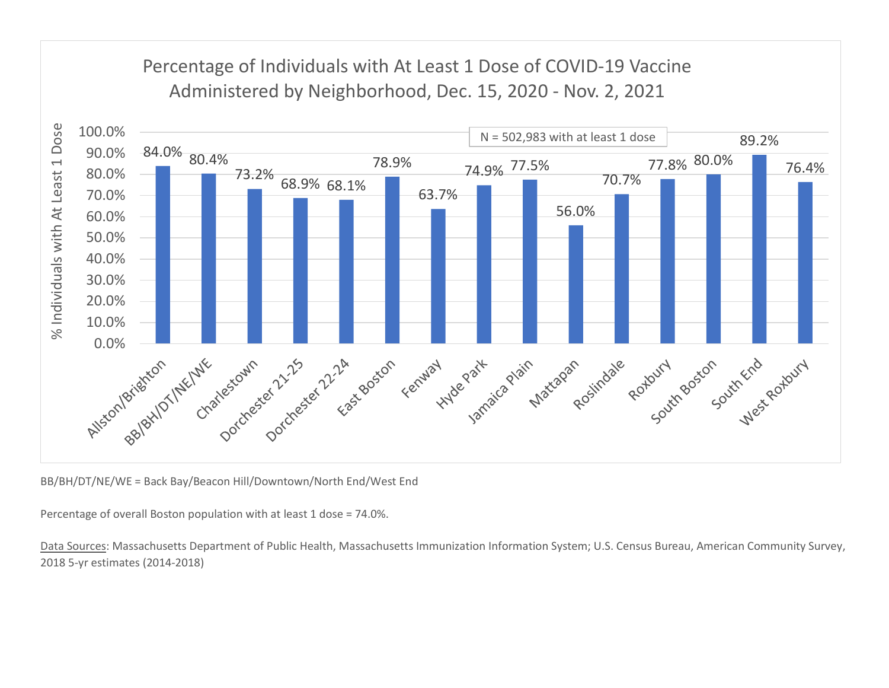## Percentage of Individuals with At Least 1 Dose of COVID-19 Vaccine



BB/BH/DT/NE/WE = Back Bay/Beacon Hill/Downtown/North End/West End

Percentage of overall Boston population with at least 1 dose = 74.0%.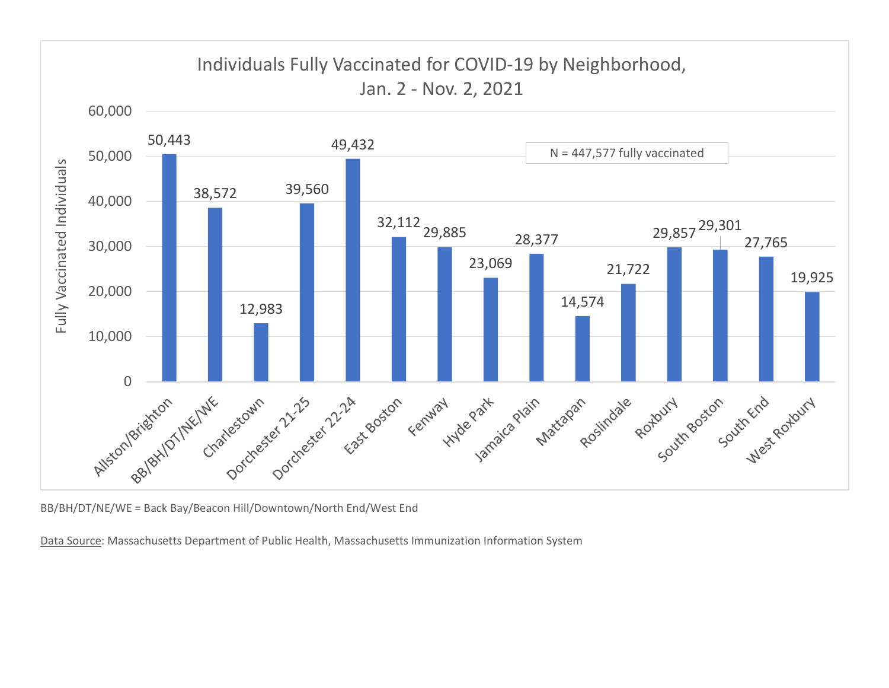

BB/BH/DT/NE/WE = Back Bay/Beacon Hill/Downtown/North End/West End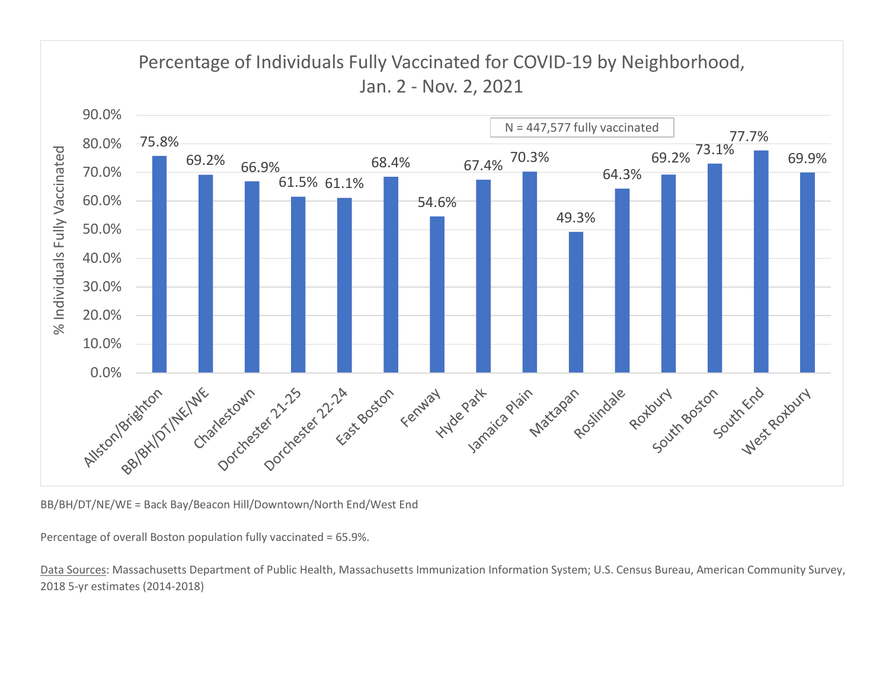

BB/BH/DT/NE/WE = Back Bay/Beacon Hill/Downtown/North End/West End

Percentage of overall Boston population fully vaccinated = 65.9%.